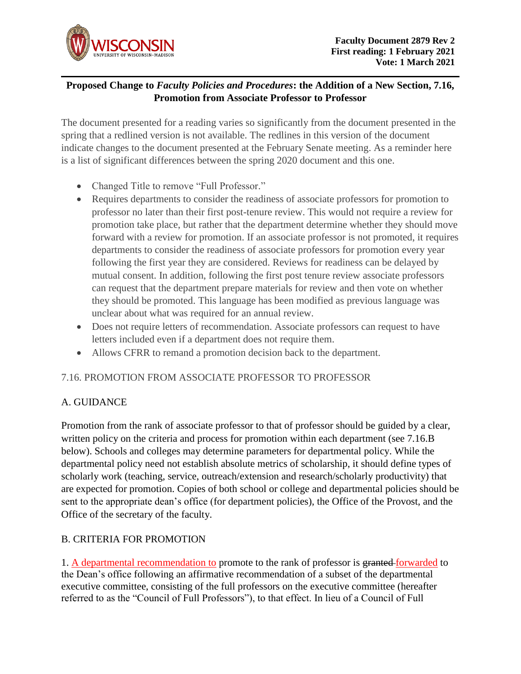

## **Proposed Change to** *Faculty Policies and Procedures***: the Addition of a New Section, 7.16, Promotion from Associate Professor to Professor**

The document presented for a reading varies so significantly from the document presented in the spring that a redlined version is not available. The redlines in this version of the document indicate changes to the document presented at the February Senate meeting. As a reminder here is a list of significant differences between the spring 2020 document and this one.

- Changed Title to remove "Full Professor."
- Requires departments to consider the readiness of associate professors for promotion to professor no later than their first post-tenure review. This would not require a review for promotion take place, but rather that the department determine whether they should move forward with a review for promotion. If an associate professor is not promoted, it requires departments to consider the readiness of associate professors for promotion every year following the first year they are considered. Reviews for readiness can be delayed by mutual consent. In addition, following the first post tenure review associate professors can request that the department prepare materials for review and then vote on whether they should be promoted. This language has been modified as previous language was unclear about what was required for an annual review.
- Does not require letters of recommendation. Associate professors can request to have letters included even if a department does not require them.
- Allows CFRR to remand a promotion decision back to the department.

#### 7.16. PROMOTION FROM ASSOCIATE PROFESSOR TO PROFESSOR

#### A. GUIDANCE

Promotion from the rank of associate professor to that of professor should be guided by a clear, written policy on the criteria and process for promotion within each department (see 7.16.B) below). Schools and colleges may determine parameters for departmental policy. While the departmental policy need not establish absolute metrics of scholarship, it should define types of scholarly work (teaching, service, outreach/extension and research/scholarly productivity) that are expected for promotion. Copies of both school or college and departmental policies should be sent to the appropriate dean's office (for department policies), the Office of the Provost, and the Office of the secretary of the faculty.

#### B. CRITERIA FOR PROMOTION

1. A departmental recommendation to promote to the rank of professor is granted forwarded to the Dean's office following an affirmative recommendation of a subset of the departmental executive committee, consisting of the full professors on the executive committee (hereafter referred to as the "Council of Full Professors"), to that effect. In lieu of a Council of Full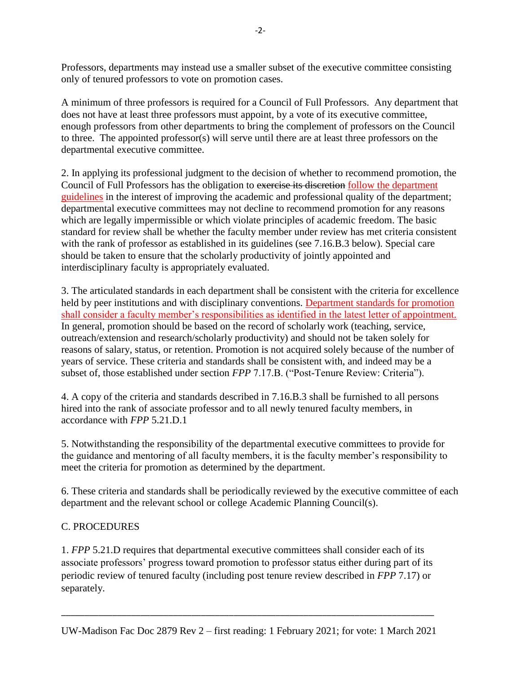Professors, departments may instead use a smaller subset of the executive committee consisting only of tenured professors to vote on promotion cases.

A minimum of three professors is required for a Council of Full Professors. Any department that does not have at least three professors must appoint, by a vote of its executive committee, enough professors from other departments to bring the complement of professors on the Council to three. The appointed professor(s) will serve until there are at least three professors on the departmental executive committee.

2. In applying its professional judgment to the decision of whether to recommend promotion, the Council of Full Professors has the obligation to exercise its discretion follow the department guidelines in the interest of improving the academic and professional quality of the department; departmental executive committees may not decline to recommend promotion for any reasons which are legally impermissible or which violate principles of academic freedom. The basic standard for review shall be whether the faculty member under review has met criteria consistent with the rank of professor as established in its guidelines (see 7.16.B.3 below). Special care should be taken to ensure that the scholarly productivity of jointly appointed and interdisciplinary faculty is appropriately evaluated.

3. The articulated standards in each department shall be consistent with the criteria for excellence held by peer institutions and with disciplinary conventions. Department standards for promotion shall consider a faculty member's responsibilities as identified in the latest letter of appointment. In general, promotion should be based on the record of scholarly work (teaching, service, outreach/extension and research/scholarly productivity) and should not be taken solely for reasons of salary, status, or retention. Promotion is not acquired solely because of the number of years of service. These criteria and standards shall be consistent with, and indeed may be a subset of, those established under section *FPP* 7.17.B. ("Post-Tenure Review: Criteria").

4. A copy of the criteria and standards described in 7.16.B.3 shall be furnished to all persons hired into the rank of associate professor and to all newly tenured faculty members, in accordance with *FPP* 5.21.D.1

5. Notwithstanding the responsibility of the departmental executive committees to provide for the guidance and mentoring of all faculty members, it is the faculty member's responsibility to meet the criteria for promotion as determined by the department.

6. These criteria and standards shall be periodically reviewed by the executive committee of each department and the relevant school or college Academic Planning Council(s).

## C. PROCEDURES

1. *FPP* 5.21.D requires that departmental executive committees shall consider each of its associate professors' progress toward promotion to professor status either during part of its periodic review of tenured faculty (including post tenure review described in *FPP* 7.17) or separately.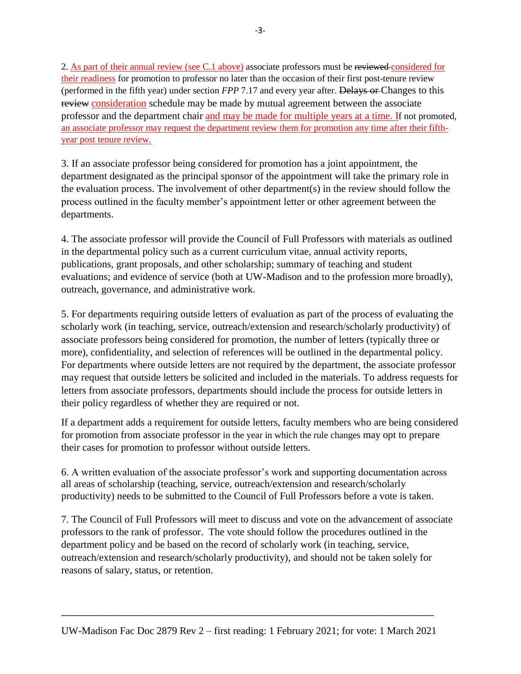2. As part of their annual review (see C.1 above) associate professors must be reviewed considered for their readiness for promotion to professor no later than the occasion of their first post-tenure review (performed in the fifth year) under section *FPP* 7.17 and every year after. Delays or Changes to this review consideration schedule may be made by mutual agreement between the associate professor and the department chair and may be made for multiple years at a time. If not promoted, an associate professor may request the department review them for promotion any time after their fifthyear post tenure review.

3. If an associate professor being considered for promotion has a joint appointment, the department designated as the principal sponsor of the appointment will take the primary role in the evaluation process. The involvement of other department(s) in the review should follow the process outlined in the faculty member's appointment letter or other agreement between the departments.

4. The associate professor will provide the Council of Full Professors with materials as outlined in the departmental policy such as a current curriculum vitae, annual activity reports, publications, grant proposals, and other scholarship; summary of teaching and student evaluations; and evidence of service (both at UW-Madison and to the profession more broadly), outreach, governance, and administrative work.

5. For departments requiring outside letters of evaluation as part of the process of evaluating the scholarly work (in teaching, service, outreach/extension and research/scholarly productivity) of associate professors being considered for promotion, the number of letters (typically three or more), confidentiality, and selection of references will be outlined in the departmental policy. For departments where outside letters are not required by the department, the associate professor may request that outside letters be solicited and included in the materials. To address requests for letters from associate professors, departments should include the process for outside letters in their policy regardless of whether they are required or not.

If a department adds a requirement for outside letters, faculty members who are being considered for promotion from associate professor in the year in which the rule changes may opt to prepare their cases for promotion to professor without outside letters.

6. A written evaluation of the associate professor's work and supporting documentation across all areas of scholarship (teaching, service, outreach/extension and research/scholarly productivity) needs to be submitted to the Council of Full Professors before a vote is taken.

7. The Council of Full Professors will meet to discuss and vote on the advancement of associate professors to the rank of professor. The vote should follow the procedures outlined in the department policy and be based on the record of scholarly work (in teaching, service, outreach/extension and research/scholarly productivity), and should not be taken solely for reasons of salary, status, or retention.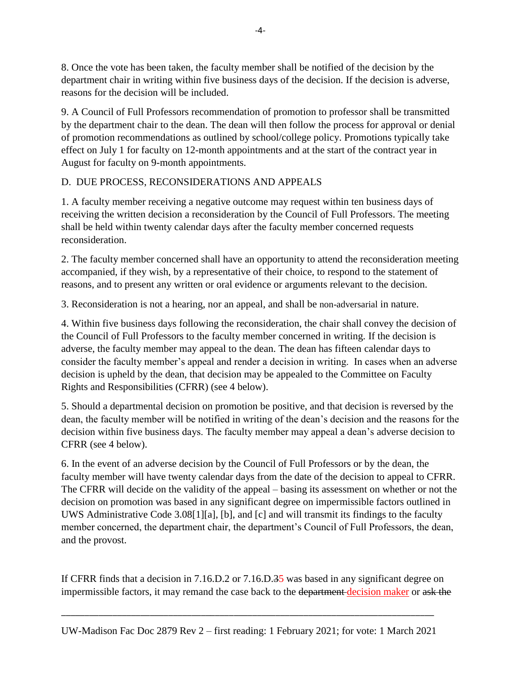8. Once the vote has been taken, the faculty member shall be notified of the decision by the department chair in writing within five business days of the decision. If the decision is adverse, reasons for the decision will be included.

9. A Council of Full Professors recommendation of promotion to professor shall be transmitted by the department chair to the dean. The dean will then follow the process for approval or denial of promotion recommendations as outlined by school/college policy. Promotions typically take effect on July 1 for faculty on 12-month appointments and at the start of the contract year in August for faculty on 9-month appointments.

# D. DUE PROCESS, RECONSIDERATIONS AND APPEALS

1. A faculty member receiving a negative outcome may request within ten business days of receiving the written decision a reconsideration by the Council of Full Professors. The meeting shall be held within twenty calendar days after the faculty member concerned requests reconsideration.

2. The faculty member concerned shall have an opportunity to attend the reconsideration meeting accompanied, if they wish, by a representative of their choice, to respond to the statement of reasons, and to present any written or oral evidence or arguments relevant to the decision.

3. Reconsideration is not a hearing, nor an appeal, and shall be non-adversarial in nature.

4. Within five business days following the reconsideration, the chair shall convey the decision of the Council of Full Professors to the faculty member concerned in writing. If the decision is adverse, the faculty member may appeal to the dean. The dean has fifteen calendar days to consider the faculty member's appeal and render a decision in writing. In cases when an adverse decision is upheld by the dean, that decision may be appealed to the Committee on Faculty Rights and Responsibilities (CFRR) (see 4 below).

5. Should a departmental decision on promotion be positive, and that decision is reversed by the dean, the faculty member will be notified in writing of the dean's decision and the reasons for the decision within five business days. The faculty member may appeal a dean's adverse decision to CFRR (see 4 below).

6. In the event of an adverse decision by the Council of Full Professors or by the dean, the faculty member will have twenty calendar days from the date of the decision to appeal to CFRR. The CFRR will decide on the validity of the appeal – basing its assessment on whether or not the decision on promotion was based in any significant degree on impermissible factors outlined in UWS Administrative Code 3.08[1][a], [b], and [c] and will transmit its findings to the faculty member concerned, the department chair, the department's Council of Full Professors, the dean, and the provost.

If CFRR finds that a decision in 7.16.D.2 or 7.16.D.35 was based in any significant degree on impermissible factors, it may remand the case back to the department decision maker or ask the